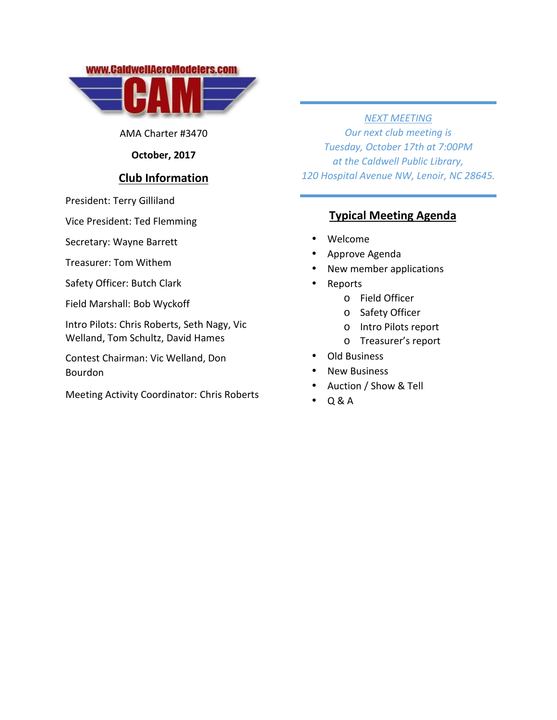

AMA Charter #3470

### **October, 2017**

### **Club Information**

President: Terry Gilliland

Vice President: Ted Flemming

Secretary: Wayne Barrett

Treasurer: Tom Withem

Safety Officer: Butch Clark

Field Marshall: Bob Wyckoff

Intro Pilots: Chris Roberts, Seth Nagy, Vic Welland, Tom Schultz, David Hames

Contest Chairman: Vic Welland, Don Bourdon

Meeting Activity Coordinator: Chris Roberts

### *NEXT MEETING*

*Our next club meeting is Tuesday, October 17th at 7:00PM at the Caldwell Public Library, 120 Hospital Avenue NW, Lenoir, NC 28645.*

# **Typical Meeting Agenda**

- Welcome
- Approve Agenda
- New member applications
- Reports
	- o Field Officer
	- o Safety Officer
	- o Intro Pilots report
	- o Treasurer's report

### Old Business

- New Business
- Auction / Show & Tell
- Q & A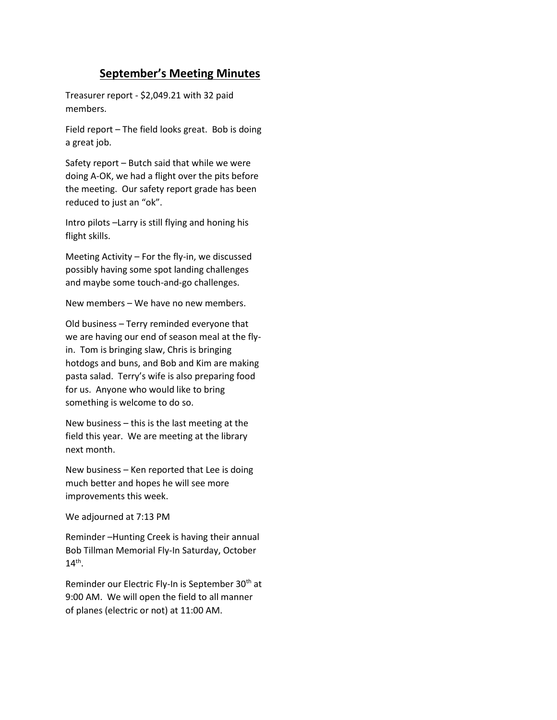## **September's Meeting Minutes**

Treasurer report - \$2,049.21 with 32 paid members.

Field report – The field looks great. Bob is doing a great job.

Safety report – Butch said that while we were doing A-OK, we had a flight over the pits before the meeting. Our safety report grade has been reduced to just an "ok".

Intro pilots –Larry is still flying and honing his flight skills.

Meeting Activity – For the fly-in, we discussed possibly having some spot landing challenges and maybe some touch-and-go challenges.

New members – We have no new members.

Old business – Terry reminded everyone that we are having our end of season meal at the flyin. Tom is bringing slaw, Chris is bringing hotdogs and buns, and Bob and Kim are making pasta salad. Terry's wife is also preparing food for us. Anyone who would like to bring something is welcome to do so.

New business – this is the last meeting at the field this year. We are meeting at the library next month.

New business – Ken reported that Lee is doing much better and hopes he will see more improvements this week.

We adjourned at 7:13 PM

Reminder –Hunting Creek is having their annual Bob Tillman Memorial Fly-In Saturday, October  $14^{\text{th}}$ .

Reminder our Electric Fly-In is September 30<sup>th</sup> at 9:00 AM. We will open the field to all manner of planes (electric or not) at 11:00 AM.